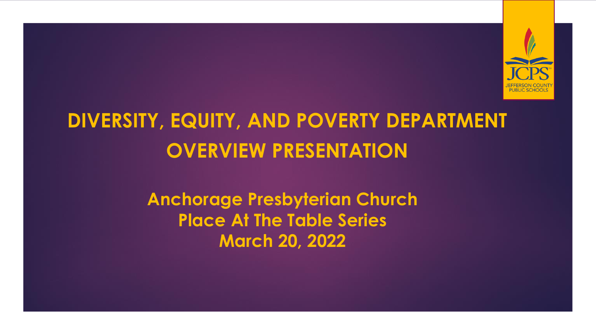

# **DIVERSITY, EQUITY, AND POVERTY DEPARTMENT OVERVIEW PRESENTATION**

**Anchorage Presbyterian Church Place At The Table Series March 20, 2022**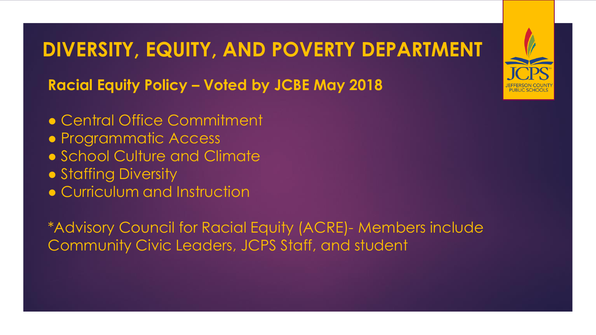**Racial Equity Policy – Voted by JCBE May 2018**

- Central Office Commitment
- Programmatic Access
- School Culture and Climate
- Staffing Diversity
- Curriculum and Instruction

\*Advisory Council for Racial Equity (ACRE)- Members include Community Civic Leaders, JCPS Staff, and student

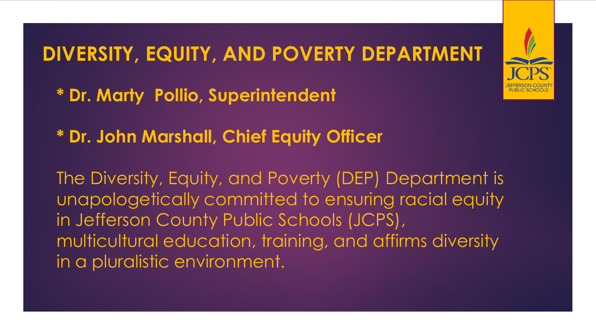- **\* Dr. Marty Pollio, Superintendent**
- **\* Dr. John Marshall, Chief Equity Officer**

The Diversity, Equity, and Poverty (DEP) Department is unapologetically committed to ensuring racial equity in Jefferson County Public Schools (JCPS), multicultural education, training, and affirms diversity in a pluralistic environment.

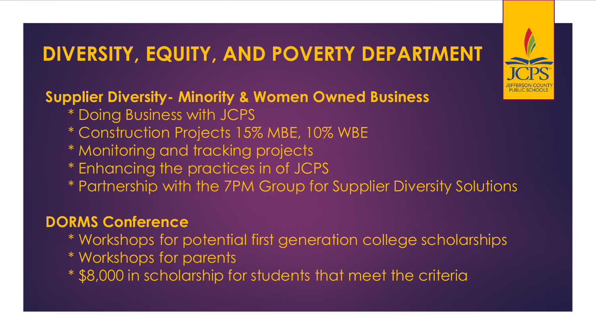**Supplier Diversity- Minority & Women Owned Business** 

- \* Doing Business with JCPS
- \* Construction Projects 15% MBE, 10% WBE
- \* Monitoring and tracking projects
- \* Enhancing the practices in of JCPS
- \* Partnership with the 7PM Group for Supplier Diversity Solutions

#### **DORMS Conference**

- \* Workshops for potential first generation college scholarships
- \* Workshops for parents
- \* \$8,000 in scholarship for students that meet the criteria

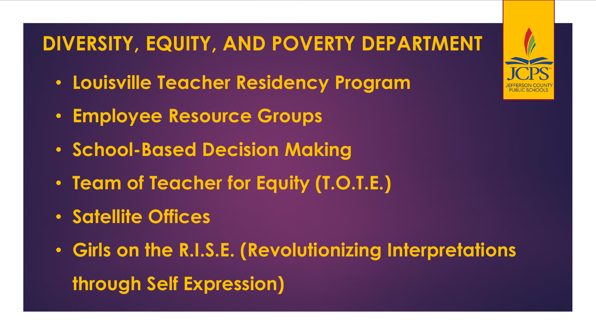- **Louisville Teacher Residency Program**
- **Employee Resource Groups**
- **School-Based Decision Making**
- **Team of Teacher for Equity (T.O.T.E.)**
- **Satellite Offices**
- **Girls on the R.I.S.E. (Revolutionizing Interpretations through Self Expression)**

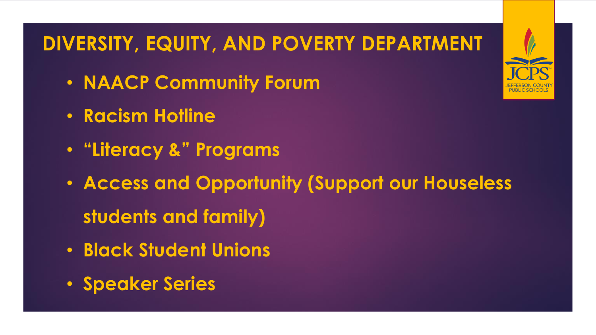- **NAACP Community Forum**
- **Racism Hotline**
- **"Literacy &" Programs**
- **Access and Opportunity (Support our Houseless students and family)**
- **Black Student Unions**
- **Speaker Series**

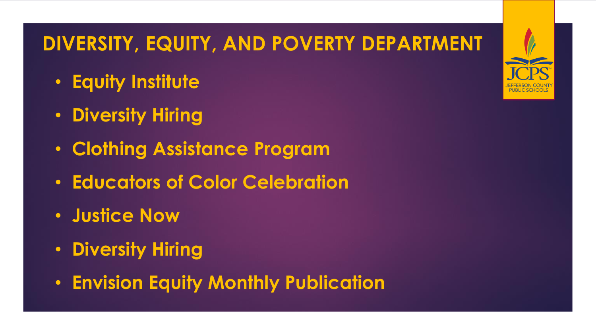- **Equity Institute**
- **Diversity Hiring**
- **Clothing Assistance Program**
- **Educators of Color Celebration**
- **Justice Now**
- **Diversity Hiring**
- **Envision Equity Monthly Publication**